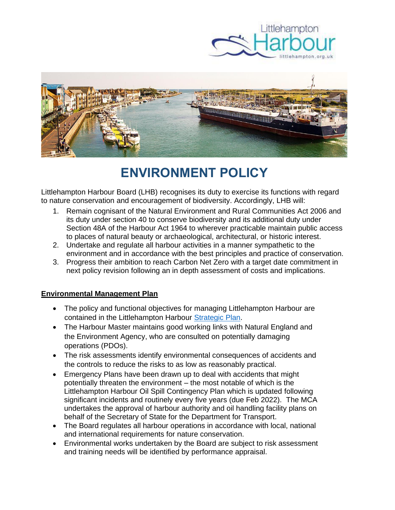



# **ENVIRONMENT POLICY**

Littlehampton Harbour Board (LHB) recognises its duty to exercise its functions with regard to nature conservation and encouragement of biodiversity. Accordingly, LHB will:

- 1. Remain cognisant of the Natural Environment and Rural Communities Act 2006 and its duty under section 40 to conserve biodiversity and its additional duty under Section 48A of the Harbour Act 1964 to wherever practicable maintain public access to places of natural beauty or archaeological, architectural, or historic interest.
- 2. Undertake and regulate all harbour activities in a manner sympathetic to the environment and in accordance with the best principles and practice of conservation.
- 3. Progress their ambition to reach Carbon Net Zero with a target date commitment in next policy revision following an in depth assessment of costs and implications.

## **Environmental Management Plan**

- The policy and functional objectives for managing Littlehampton Harbour are contained in the Littlehampton Harbour [Strategic Plan.](https://www.littlehampton.org.uk/wp-content/uploads/2020/08/Littlehampton-Harbour-Strategic-Outlook.pdf)
- The Harbour Master maintains good working links with Natural England and the Environment Agency, who are consulted on potentially damaging operations (PDOs).
- The risk assessments identify environmental consequences of accidents and the controls to reduce the risks to as low as reasonably practical.
- Emergency Plans have been drawn up to deal with accidents that might potentially threaten the environment – the most notable of which is the Littlehampton Harbour Oil Spill Contingency Plan which is updated following significant incidents and routinely every five years (due Feb 2022). The MCA undertakes the approval of harbour authority and oil handling facility plans on behalf of the Secretary of State for the Department for Transport.
- The Board regulates all harbour operations in accordance with local, national and international requirements for nature conservation.
- Environmental works undertaken by the Board are subject to risk assessment and training needs will be identified by performance appraisal.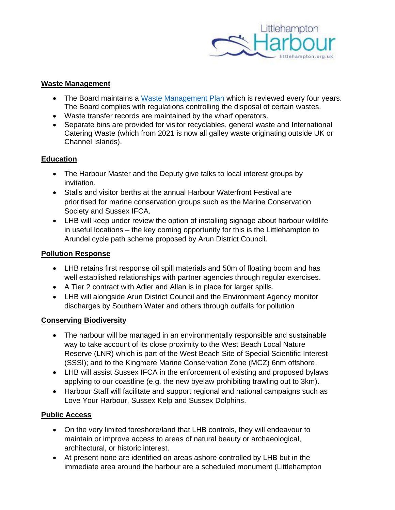

### **Waste Management**

- The Board maintains a [Waste Management Plan](https://www.littlehampton.org.uk/wp-content/uploads/2021/10/Port-Waste-Plan-2021-approved-1.pdf) which is reviewed every four years. The Board complies with regulations controlling the disposal of certain wastes.
- Waste transfer records are maintained by the wharf operators.
- Separate bins are provided for visitor recyclables, general waste and International Catering Waste (which from 2021 is now all galley waste originating outside UK or Channel Islands).

### **Education**

- The Harbour Master and the Deputy give talks to local interest groups by invitation.
- Stalls and visitor berths at the annual Harbour Waterfront Festival are prioritised for marine conservation groups such as the Marine Conservation Society and Sussex IFCA.
- LHB will keep under review the option of installing signage about harbour wildlife in useful locations – the key coming opportunity for this is the Littlehampton to Arundel cycle path scheme proposed by Arun District Council.

### **Pollution Response**

- LHB retains first response oil spill materials and 50m of floating boom and has well established relationships with partner agencies through regular exercises.
- A Tier 2 contract with Adler and Allan is in place for larger spills.
- LHB will alongside Arun District Council and the Environment Agency monitor discharges by Southern Water and others through outfalls for pollution

## **Conserving Biodiversity**

- The harbour will be managed in an environmentally responsible and sustainable way to take account of its close proximity to the West Beach Local Nature Reserve (LNR) which is part of the West Beach Site of Special Scientific Interest (SSSI); and to the Kingmere Marine Conservation Zone (MCZ) 6nm offshore.
- LHB will assist Sussex IFCA in the enforcement of existing and proposed bylaws applying to our coastline (e.g. the new byelaw prohibiting trawling out to 3km).
- Harbour Staff will facilitate and support regional and national campaigns such as Love Your Harbour, Sussex Kelp and Sussex Dolphins.

#### **Public Access**

- On the very limited foreshore/land that LHB controls, they will endeavour to maintain or improve access to areas of natural beauty or archaeological, architectural, or historic interest.
- At present none are identified on areas ashore controlled by LHB but in the immediate area around the harbour are a scheduled monument (Littlehampton